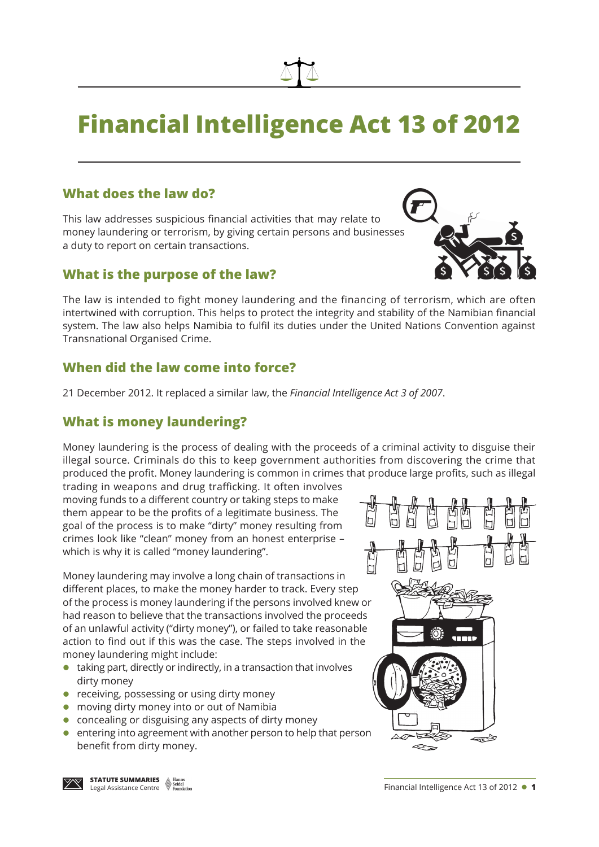# **Financial Intelligence Act 13 of 2012**

## **What does the law do?**

This law addresses suspicious financial activities that may relate to money laundering or terrorism, by giving certain persons and businesses a duty to report on certain transactions.

#### **What is the purpose of the law?**

The law is intended to fight money laundering and the financing of terrorism, which are often intertwined with corruption. This helps to protect the integrity and stability of the Namibian financial system. The law also helps Namibia to fulfil its duties under the United Nations Convention against Transnational Organised Crime.

## **When did the law come into force?**

21 December 2012. It replaced a similar law, the *Financial Intelligence Act 3 of 2007*.

## **What is money laundering?**

Money laundering is the process of dealing with the proceeds of a criminal activity to disguise their illegal source. Criminals do this to keep government authorities from discovering the crime that produced the profit. Money laundering is common in crimes that produce large profits, such as illegal

trading in weapons and drug trafficking. It often involves moving funds to a different country or taking steps to make them appear to be the profits of a legitimate business. The goal of the process is to make "dirty" money resulting from crimes look like "clean" money from an honest enterprise – which is why it is called "money laundering".

Money laundering may involve a long chain of transactions in different places, to make the money harder to track. Every step of the process is money laundering if the persons involved knew or had reason to believe that the transactions involved the proceeds of an unlawful activity ("dirty money"), or failed to take reasonable action to find out if this was the case. The steps involved in the money laundering might include:

- $\bullet$  taking part, directly or indirectly, in a transaction that involves dirty money
- receiving, possessing or using dirty money
- moving dirty money into or out of Namibia
- $\bullet$  concealing or disguising any aspects of dirty money
- entering into agreement with another person to help that person benefit from dirty money.







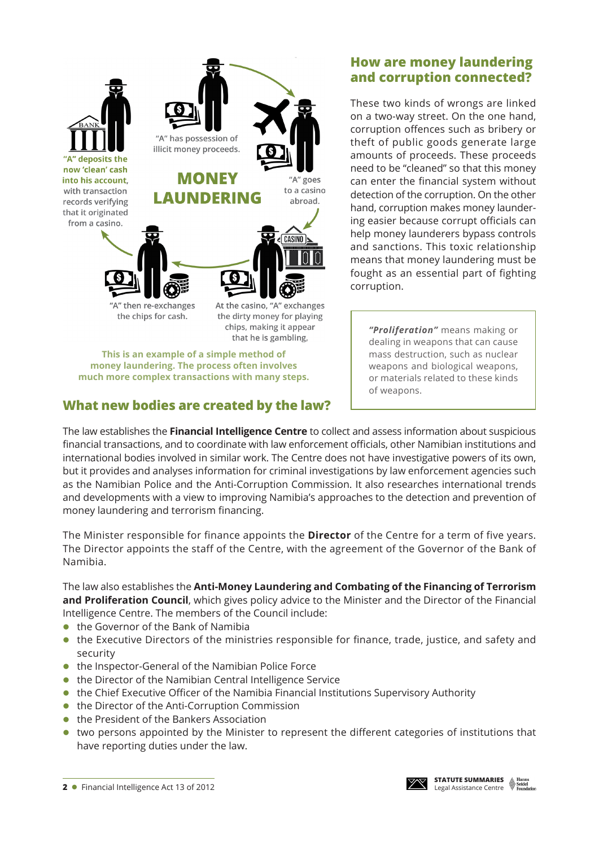

**This is an example of a simple method of money laundering. The process often involves much more complex transactions with many steps.**

## **What new bodies are created by the law?**

## **How are money laundering and corruption connected?**

These two kinds of wrongs are linked on a two-way street. On the one hand, corruption offences such as bribery or theft of public goods generate large amounts of proceeds. These proceeds need to be "cleaned" so that this money can enter the financial system without detection of the corruption. On the other hand, corruption makes money laundering easier because corrupt officials can help money launderers bypass controls and sanctions. This toxic relationship means that money laundering must be fought as an essential part of fighting corruption.

> *"Proliferation"* means making or dealing in weapons that can cause mass destruction, such as nuclear weapons and biological weapons, or materials related to these kinds of weapons.

The law establishes the **Financial Intelligence Centre** to collect and assess information about suspicious financial transactions, and to coordinate with law enforcement officials, other Namibian institutions and international bodies involved in similar work. The Centre does not have investigative powers of its own, but it provides and analyses information for criminal investigations by law enforcement agencies such as the Namibian Police and the Anti-Corruption Commission. It also researches international trends and developments with a view to improving Namibia's approaches to the detection and prevention of money laundering and terrorism financing.

The Minister responsible for finance appoints the **Director** of the Centre for a term of five years. The Director appoints the staff of the Centre, with the agreement of the Governor of the Bank of Namibia.

The law also establishes the **Anti-Money Laundering and Combating of the Financing of Terrorism and Proliferation Council**, which gives policy advice to the Minister and the Director of the Financial Intelligence Centre. The members of the Council include:

- $\bullet$  the Governor of the Bank of Namibia
- the Executive Directors of the ministries responsible for finance, trade, justice, and safety and security
- $\bullet$  the Inspector-General of the Namibian Police Force
- $\bullet$  the Director of the Namibian Central Intelligence Service
- the Chief Executive Officer of the Namibia Financial Institutions Supervisory Authority
- the Director of the Anti-Corruption Commission
- the President of the Bankers Association
- two persons appointed by the Minister to represent the different categories of institutions that have reporting duties under the law.

**2** ● Financial Intelligence Act 13 of 2012

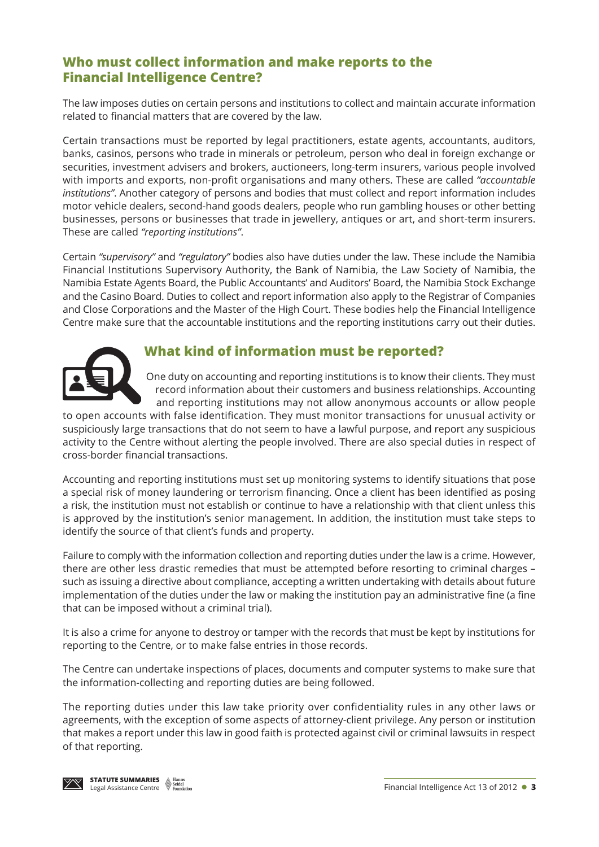## **Who must collect information and make reports to the Financial Intelligence Centre?**

The law imposes duties on certain persons and institutions to collect and maintain accurate information related to financial matters that are covered by the law.

Certain transactions must be reported by legal practitioners, estate agents, accountants, auditors, banks, casinos, persons who trade in minerals or petroleum, person who deal in foreign exchange or securities, investment advisers and brokers, auctioneers, long-term insurers, various people involved with imports and exports, non-profit organisations and many others. These are called *"accountable institutions"*. Another category of persons and bodies that must collect and report information includes motor vehicle dealers, second-hand goods dealers, people who run gambling houses or other betting businesses, persons or businesses that trade in jewellery, antiques or art, and short-term insurers. These are called *"reporting institutions"*.

Certain *"supervisory"* and *"regulatory"* bodies also have duties under the law. These include the Namibia Financial Institutions Supervisory Authority, the Bank of Namibia, the Law Society of Namibia, the Namibia Estate Agents Board, the Public Accountants' and Auditors' Board, the Namibia Stock Exchange and the Casino Board. Duties to collect and report information also apply to the Registrar of Companies and Close Corporations and the Master of the High Court. These bodies help the Financial Intelligence Centre make sure that the accountable institutions and the reporting institutions carry out their duties.



## **What kind of information must be reported?**

One duty on accounting and reporting institutions is to know their clients. They must record information about their customers and business relationships. Accounting and reporting institutions may not allow anonymous accounts or allow people

to open accounts with false identification. They must monitor transactions for unusual activity or suspiciously large transactions that do not seem to have a lawful purpose, and report any suspicious activity to the Centre without alerting the people involved. There are also special duties in respect of cross-border financial transactions.

Accounting and reporting institutions must set up monitoring systems to identify situations that pose a special risk of money laundering or terrorism financing. Once a client has been identified as posing a risk, the institution must not establish or continue to have a relationship with that client unless this is approved by the institution's senior management. In addition, the institution must take steps to identify the source of that client's funds and property.

Failure to comply with the information collection and reporting duties under the law is a crime. However, there are other less drastic remedies that must be attempted before resorting to criminal charges – such as issuing a directive about compliance, accepting a written undertaking with details about future implementation of the duties under the law or making the institution pay an administrative fine (a fine that can be imposed without a criminal trial).

It is also a crime for anyone to destroy or tamper with the records that must be kept by institutions for reporting to the Centre, or to make false entries in those records.

The Centre can undertake inspections of places, documents and computer systems to make sure that the information-collecting and reporting duties are being followed.

The reporting duties under this law take priority over confidentiality rules in any other laws or agreements, with the exception of some aspects of attorney-client privilege. Any person or institution that makes a report under this law in good faith is protected against civil or criminal lawsuits in respect of that reporting.